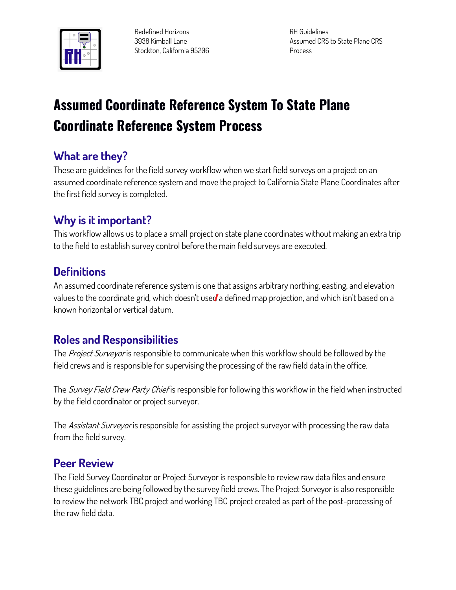

**Redefined Horizons 3938 Kimball Lane Stockton, California 95206**

**RH Guidelines Assumed CRS to State Plane CRS Process**

# **Assumed Coordinate Reference System To State Plane Coordinate Reference System Process**

# **What are they?**

**These are guidelines for the field survey workflow when we start field surveys on a project on an assumed coordinate reference system and move the project to California State Plane Coordinates after the first field survey is completed.**

# **Why is it important?**

**This workflow allows us to place a small project on state plane coordinates without making an extra trip to the field to establish survey control before the main field surveys are executed.**

# **Definitions**

**An assumed coordinate reference system is one that assigns arbitrary northing, easting, and elevation values to the coordinate grid, which doesn't used a defined map projection, and which isn't based on a known horizontal or vertical datum.**

## **Roles and Responsibilities**

**The Project Surveyor is responsible to communicate when this workflow should be followed by the field crews and is responsible for supervising the processing of the raw field data in the office.**

**The Survey Field Crew Party Chief is responsible for following this workflow in the field when instructed by the field coordinator or project surveyor.**

**The Assistant Surveyor is responsible for assisting the project surveyor with processing the raw data from the field survey.**

## **Peer Review**

**The Field Survey Coordinator or Project Surveyor is responsible to review raw data files and ensure these guidelines are being followed by the survey field crews. The Project Surveyor is also responsible to review the network TBC project and working TBC project created as part of the post-processing of the raw field data.**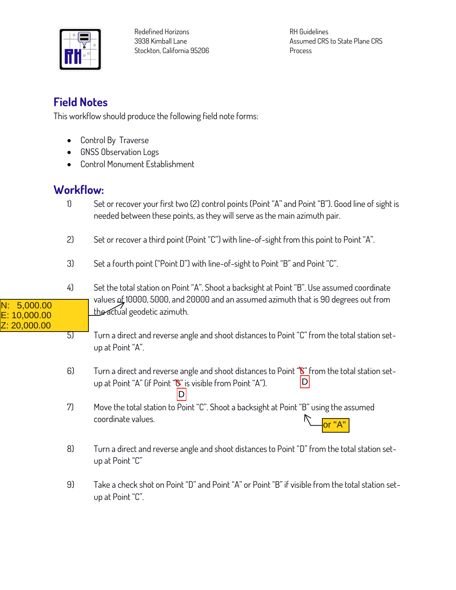

**Redefined Horizons 3938 Kimball Lane Stockton, California 95206**

**RH Guidelines Assumed CRS to State Plane CRS Process**

## **Field Notes**

**This workflow should produce the following field note forms:**

- **Control By Traverse**
- **GNSS Observation Logs**
- **Control Monument Establishment**

#### **Workflow:**

N: 5,000.00 E: 10,000.00 Z: 20,000.00

- **1) Set or recover your first two (2) control points (Point "A" and Point "B"). Good line of sight is needed between these points, as they will serve as the main azimuth pair.**
- **2) Set or recover a third point (Point "C") with line-of-sight from this point to Point "A".**
- **3) Set a fourth point ("Point D") with line-of-sight to Point "B" and Point "C".**
- **4) Set the total station on Point "A". Shoot a backsight at Point "B". Use assumed coordinate values of 10000, 5000, and 20000 and an assumed azimuth that is 90 degrees out from the actual geodetic azimuth.**
- **5) Turn a direct and reverse angle and shoot distances to Point "C" from the total station setup at Point "A".**
- **6) Turn a direct and reverse angle and shoot distances to Point "C" from the total station setup at Point "A" (if Point "C" is visible from Point "A").**   $|D|$ D
- **7) Move the total station to Point "C". Shoot a backsight at Point "B" using the assumed coordinate values.** or "A"
- **8) Turn a direct and reverse angle and shoot distances to Point "D" from the total station setup at Point "C"**
- **9) Take a check shot on Point "D" and Point "A" or Point "B" if visible from the total station setup at Point "C".**